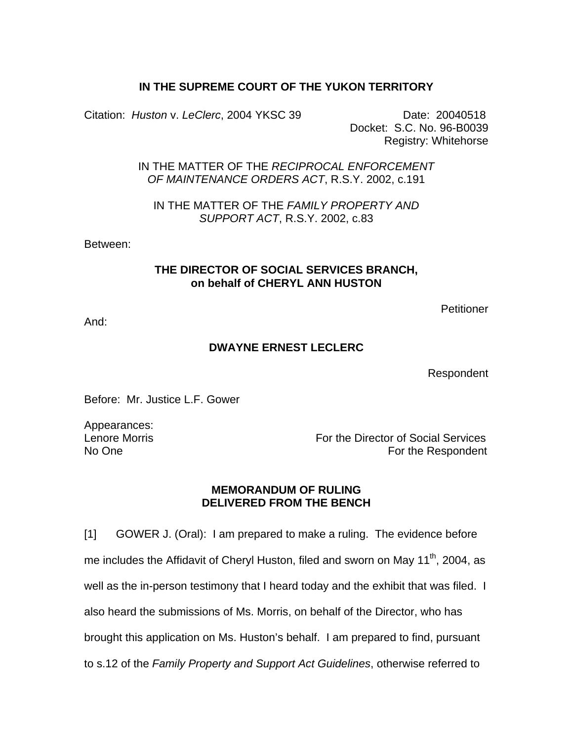## **IN THE SUPREME COURT OF THE YUKON TERRITORY**

Citation: *Huston* v. *LeClerc*, 2004 YKSC 39 Date: 20040518

 Docket: S.C. No. 96-B0039 Registry: Whitehorse

IN THE MATTER OF THE *RECIPROCAL ENFORCEMENT OF MAINTENANCE ORDERS ACT*, R.S.Y. 2002, c.191

IN THE MATTER OF THE *FAMILY PROPERTY AND SUPPORT ACT*, R.S.Y. 2002, c.83

Between:

## **THE DIRECTOR OF SOCIAL SERVICES BRANCH, on behalf of CHERYL ANN HUSTON**

**Petitioner** 

And:

## **DWAYNE ERNEST LECLERC**

Respondent

Before: Mr. Justice L.F. Gower

Appearances:

Lenore Morris For the Director of Social Services No One For the Respondent

## **MEMORANDUM OF RULING DELIVERED FROM THE BENCH**

[1] GOWER J. (Oral): I am prepared to make a ruling. The evidence before me includes the Affidavit of Cheryl Huston, filed and sworn on May 11<sup>th</sup>, 2004, as well as the in-person testimony that I heard today and the exhibit that was filed. I also heard the submissions of Ms. Morris, on behalf of the Director, who has brought this application on Ms. Huston's behalf. I am prepared to find, pursuant to s.12 of the *Family Property and Support Act Guidelines*, otherwise referred to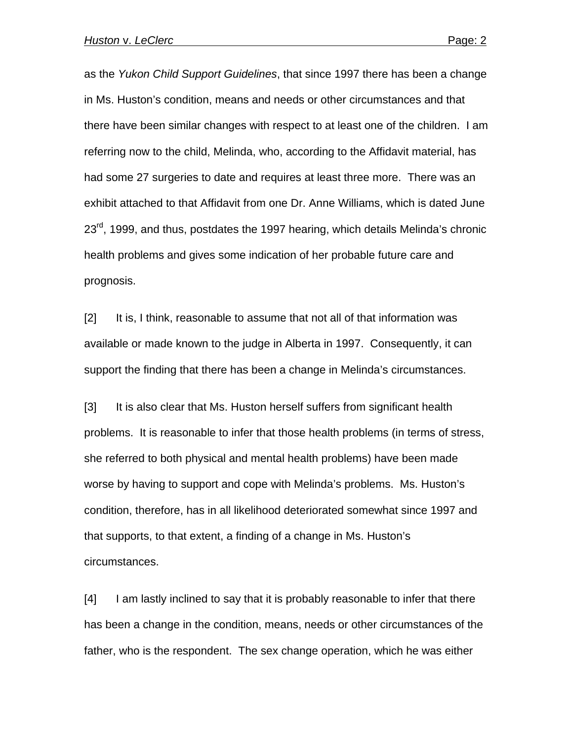as the *Yukon Child Support Guidelines*, that since 1997 there has been a change in Ms. Huston's condition, means and needs or other circumstances and that there have been similar changes with respect to at least one of the children. I am referring now to the child, Melinda, who, according to the Affidavit material, has had some 27 surgeries to date and requires at least three more. There was an exhibit attached to that Affidavit from one Dr. Anne Williams, which is dated June  $23<sup>rd</sup>$ , 1999, and thus, postdates the 1997 hearing, which details Melinda's chronic health problems and gives some indication of her probable future care and prognosis.

[2] It is, I think, reasonable to assume that not all of that information was available or made known to the judge in Alberta in 1997. Consequently, it can support the finding that there has been a change in Melinda's circumstances.

[3] It is also clear that Ms. Huston herself suffers from significant health problems. It is reasonable to infer that those health problems (in terms of stress, she referred to both physical and mental health problems) have been made worse by having to support and cope with Melinda's problems. Ms. Huston's condition, therefore, has in all likelihood deteriorated somewhat since 1997 and that supports, to that extent, a finding of a change in Ms. Huston's circumstances.

[4] I am lastly inclined to say that it is probably reasonable to infer that there has been a change in the condition, means, needs or other circumstances of the father, who is the respondent. The sex change operation, which he was either